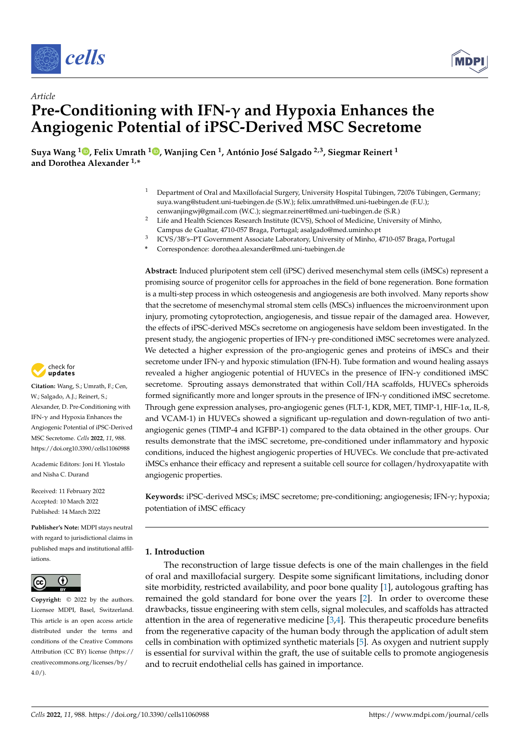



# *Article* **Pre-Conditioning with IFN- and Hypoxia Enhances the Angiogenic Potential of iPSC-Derived MSC Secretome**

**Suya Wang <sup>1</sup> , Felix Umrath <sup>1</sup> , Wanjing Cen 1, António José Salgado 2,3, Siegmar Reinert <sup>1</sup> and Dorothea Alexander 1,\***

- <sup>1</sup> Department of Oral and Maxillofacial Surgery, University Hospital Tübingen, 72076 Tübingen, Germany; suya.wang@student.uni-tuebingen.de (S.W.); felix.umrath@med.uni-tuebingen.de (F.U.); cenwanjingwj@gmail.com (W.C.); siegmar.reinert@med.uni-tuebingen.de (S.R.)
- <sup>2</sup> Life and Health Sciences Research Institute (ICVS), School of Medicine, University of Minho, Campus de Gualtar, 4710-057 Braga, Portugal; asalgado@med.uminho.pt
- <sup>3</sup> ICVS/3B's–PT Government Associate Laboratory, University of Minho, 4710-057 Braga, Portugal
- **\*** Correspondence: dorothea.alexander@med.uni-tuebingen.de

**Abstract:** Induced pluripotent stem cell (iPSC) derived mesenchymal stem cells (iMSCs) represent a promising source of progenitor cells for approaches in the field of bone regeneration. Bone formation is a multi-step process in which osteogenesis and angiogenesis are both involved. Many reports show that the secretome of mesenchymal stromal stem cells (MSCs) influences the microenvironment upon injury, promoting cytoprotection, angiogenesis, and tissue repair of the damaged area. However, the effects of iPSC-derived MSCs secretome on angiogenesis have seldom been investigated. In the present study, the angiogenic properties of IFN- $\gamma$  pre-conditioned iMSC secretomes were analyzed. We detected a higher expression of the pro-angiogenic genes and proteins of iMSCs and their secretome under IFN- $\gamma$  and hypoxic stimulation (IFN-H). Tube formation and wound healing assays revealed a higher angiogenic potential of HUVECs in the presence of  $IFN-\gamma$  conditioned iMSC secretome. Sprouting assays demonstrated that within Coll/HA scaffolds, HUVECs spheroids formed significantly more and longer sprouts in the presence of IFN- $\gamma$  conditioned iMSC secretome. Through gene expression analyses, pro-angiogenic genes (FLT-1, KDR, MET, TIMP-1, HIF-1 $\alpha$ , IL-8, and VCAM-1) in HUVECs showed a significant up-regulation and down-regulation of two antiangiogenic genes (TIMP-4 and IGFBP-1) compared to the data obtained in the other groups. Our results demonstrate that the iMSC secretome, pre-conditioned under inflammatory and hypoxic conditions, induced the highest angiogenic properties of HUVECs. We conclude that pre-activated iMSCs enhance their efficacy and represent a suitable cell source for collagen/hydroxyapatite with angiogenic properties.

Keywords: iPSC-derived MSCs; iMSC secretome; pre-conditioning; angiogenesis; IFN- $\gamma$ ; hypoxia; potentiation of iMSC efficacy

# **1. Introduction**

The reconstruction of large tissue defects is one of the main challenges in the field of oral and maxillofacial surgery. Despite some significant limitations, including donor site morbidity, restricted availability, and poor bone quality [1], autologous grafting has remained the gold standard for bone over the years [2]. In order to overcome these drawbacks, tissue engineering with stem cells, signal molecules, and scaffolds has attracted attention in the area of regenerative medicine [3,4]. This therapeutic procedure benefits from the regenerative capacity of the human body through the application of adult stem cells in combination with optimized synthetic materials [5]. As oxygen and nutrient supply is essential for survival within the graft, the use of suitable cells to promote angiogenesis and to recruit endothelial cells has gained in importance.



**Citation:** Wang, S.; Umrath, F.; Cen, W.; Salgado, A.J.; Reinert, S.; Alexander, D. Pre-Conditioning with IFN- $\gamma$  and Hypoxia Enhances the Angiogenic Potential of iPSC-Derived MSC Secretome. *Cells* **2022**, *11*, 988. https://doi.org10.3390/cells11060988

Academic Editors: Joni H. Ylostalo and Nisha C. Durand

Received: 11 February 2022 Accepted: 10 March 2022 Published: 14 March 2022

**Publisher's Note:** MDPI stays neutral with regard to jurisdictional claims in published maps and institutional affiliations.



**Copyright:** © 2022 by the authors. Licensee MDPI, Basel, Switzerland. This article is an open access article distributed under the terms and conditions of the Creative Commons Attribution (CC BY) license (https:// creativecommons.org/licenses/by/ 4.0/).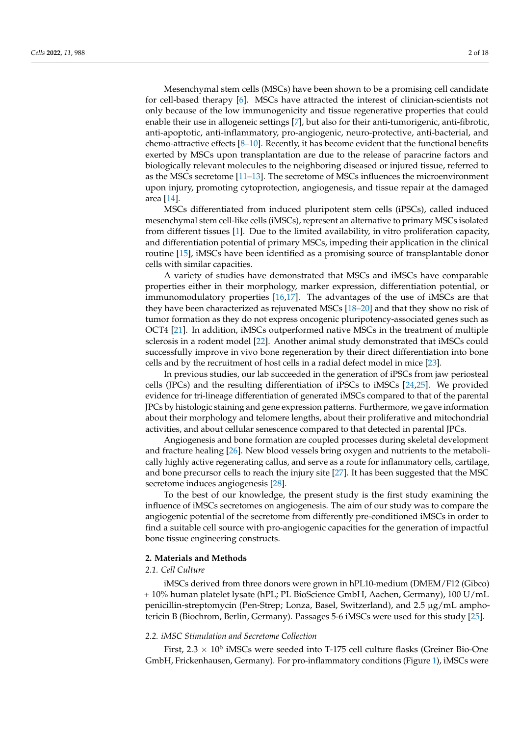Mesenchymal stem cells (MSCs) have been shown to be a promising cell candidate for cell-based therapy [6]. MSCs have attracted the interest of clinician-scientists not only because of the low immunogenicity and tissue regenerative properties that could enable their use in allogeneic settings [7], but also for their anti-tumorigenic, anti-fibrotic, anti-apoptotic, anti-inflammatory, pro-angiogenic, neuro-protective, anti-bacterial, and chemo-attractive effects  $[8-10]$ . Recently, it has become evident that the functional benefits exerted by MSCs upon transplantation are due to the release of paracrine factors and biologically relevant molecules to the neighboring diseased or injured tissue, referred to as the MSCs secretome [11–13]. The secretome of MSCs influences the microenvironment upon injury, promoting cytoprotection, angiogenesis, and tissue repair at the damaged area [14].

MSCs differentiated from induced pluripotent stem cells (iPSCs), called induced mesenchymal stem cell-like cells (iMSCs), represent an alternative to primary MSCs isolated from different tissues [1]. Due to the limited availability, in vitro proliferation capacity, and differentiation potential of primary MSCs, impeding their application in the clinical routine [15], iMSCs have been identified as a promising source of transplantable donor cells with similar capacities.

A variety of studies have demonstrated that MSCs and iMSCs have comparable properties either in their morphology, marker expression, differentiation potential, or immunomodulatory properties [16,17]. The advantages of the use of iMSCs are that they have been characterized as rejuvenated MSCs [18–20] and that they show no risk of tumor formation as they do not express oncogenic pluripotency-associated genes such as OCT4 [21]. In addition, iMSCs outperformed native MSCs in the treatment of multiple sclerosis in a rodent model [22]. Another animal study demonstrated that iMSCs could successfully improve in vivo bone regeneration by their direct differentiation into bone cells and by the recruitment of host cells in a radial defect model in mice [23].

In previous studies, our lab succeeded in the generation of iPSCs from jaw periosteal cells (JPCs) and the resulting differentiation of iPSCs to iMSCs [24,25]. We provided evidence for tri-lineage differentiation of generated iMSCs compared to that of the parental JPCs by histologic staining and gene expression patterns. Furthermore, we gave information about their morphology and telomere lengths, about their proliferative and mitochondrial activities, and about cellular senescence compared to that detected in parental JPCs.

Angiogenesis and bone formation are coupled processes during skeletal development and fracture healing [26]. New blood vessels bring oxygen and nutrients to the metabolically highly active regenerating callus, and serve as a route for inflammatory cells, cartilage, and bone precursor cells to reach the injury site [27]. It has been suggested that the MSC secretome induces angiogenesis [28].

To the best of our knowledge, the present study is the first study examining the influence of iMSCs secretomes on angiogenesis. The aim of our study was to compare the angiogenic potential of the secretome from differently pre-conditioned iMSCs in order to find a suitable cell source with pro-angiogenic capacities for the generation of impactful bone tissue engineering constructs.

#### **2. Materials and Methods**

# *2.1. Cell Culture*

iMSCs derived from three donors were grown in hPL10-medium (DMEM/F12 (Gibco) + 10% human platelet lysate (hPL; PL BioScience GmbH, Aachen, Germany), 100 U/mL penicillin-streptomycin (Pen-Strep; Lonza, Basel, Switzerland), and 2.5 µg/mL amphotericin B (Biochrom, Berlin, Germany). Passages 5-6 iMSCs were used for this study [25].

# *2.2. iMSC Stimulation and Secretome Collection*

First,  $2.3 \times 10^6$  iMSCs were seeded into T-175 cell culture flasks (Greiner Bio-One GmbH, Frickenhausen, Germany). For pro-inflammatory conditions (Figure 1), iMSCs were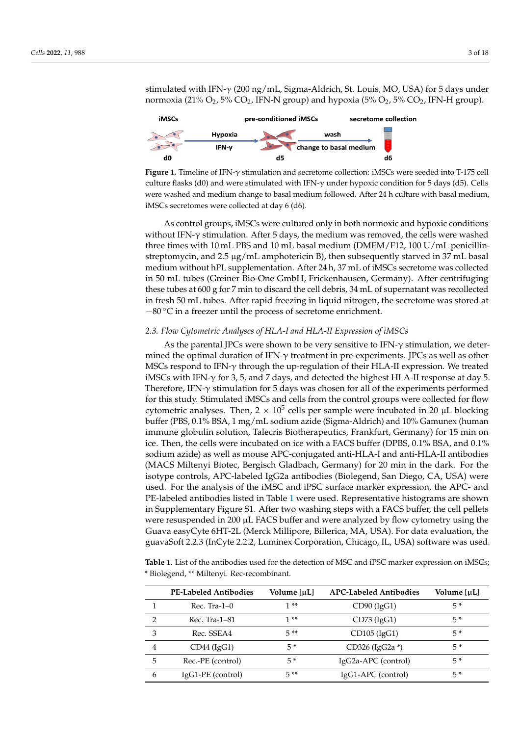stimulated with IFN- $\gamma$  (200 ng/mL, Sigma-Aldrich, St. Louis, MO, USA) for 5 days under normoxia (21%  $O_2$ , 5%  $CO_2$ , IFN-N group) and hypoxia (5%  $O_2$ , 5%  $CO_2$ , IFN-H group).



Figure 1. Timeline of IFN- $\gamma$  stimulation and secretome collection: iMSCs were seeded into T-175 cell culture flasks (d0) and were stimulated with IFN- $\gamma$  under hypoxic condition for 5 days (d5). Cells were washed and medium change to basal medium followed. After 24 h culture with basal medium, iMSCs secretomes were collected at day 6 (d6).

As control groups, iMSCs were cultured only in both normoxic and hypoxic conditions without IFN- $\gamma$  stimulation. After 5 days, the medium was removed, the cells were washed three times with 10 mL PBS and 10 mL basal medium (DMEM/F12, 100 U/mL penicillinstreptomycin, and 2.5  $\mu$ g/mL amphotericin B), then subsequently starved in 37 mL basal medium without hPL supplementation. After 24 h, 37 mL of iMSCs secretome was collected in 50 mL tubes (Greiner Bio-One GmbH, Frickenhausen, Germany). After centrifuging these tubes at 600 g for 7 min to discard the cell debris, 34 mL of supernatant was recollected in fresh 50 mL tubes. After rapid freezing in liquid nitrogen, the secretome was stored at  $-80$  °C in a freezer until the process of secretome enrichment.

## *2.3. Flow Cytometric Analyses of HLA-I and HLA-II Expression of iMSCs*

As the parental JPCs were shown to be very sensitive to IFN- $\gamma$  stimulation, we determined the optimal duration of IFN- $\gamma$  treatment in pre-experiments. JPCs as well as other MSCs respond to IFN- $\gamma$  through the up-regulation of their HLA-II expression. We treated iMSCs with IFN- $\gamma$  for 3, 5, and 7 days, and detected the highest HLA-II response at day 5. Therefore, IFN- $\gamma$  stimulation for 5 days was chosen for all of the experiments performed for this study. Stimulated iMSCs and cells from the control groups were collected for flow cytometric analyses. Then,  $2 \times 10^5$  cells per sample were incubated in 20 µL blocking buffer (PBS, 0.1% BSA, 1 mg/mL sodium azide (Sigma-Aldrich) and 10% Gamunex (human immune globulin solution, Talecris Biotherapeutics, Frankfurt, Germany) for 15 min on ice. Then, the cells were incubated on ice with a FACS buffer (DPBS, 0.1% BSA, and 0.1% sodium azide) as well as mouse APC-conjugated anti-HLA-I and anti-HLA-II antibodies (MACS Miltenyi Biotec, Bergisch Gladbach, Germany) for 20 min in the dark. For the isotype controls, APC-labeled IgG2a antibodies (Biolegend, San Diego, CA, USA) were used. For the analysis of the iMSC and iPSC surface marker expression, the APC- and PE-labeled antibodies listed in Table 1 were used. Representative histograms are shown in Supplementary Figure S1. After two washing steps with a FACS buffer, the cell pellets were resuspended in 200 µL FACS buffer and were analyzed by flow cytometry using the Guava easyCyte 6HT-2L (Merck Millipore, Billerica, MA, USA). For data evaluation, the guavaSoft 2.2.3 (InCyte 2.2.2, Luminex Corporation, Chicago, IL, USA) software was used.

**Table 1.** List of the antibodies used for the detection of MSC and iPSC marker expression on iMSCs; \* Biolegend, \*\* Miltenyi. Rec-recombinant.

|               | <b>PE-Labeled Antibodies</b> | Volume [µL] | <b>APC-Labeled Antibodies</b> | Volume [µL] |
|---------------|------------------------------|-------------|-------------------------------|-------------|
|               | $Rec.$ Tra-1-0               | $1**$       | $CD90$ (IgG1)                 | $5*$        |
| $\mathcal{D}$ | Rec. Tra-1–81                | $1**$       | $CD73$ (IgG1)                 | $5*$        |
| 3             | Rec. SSEA4                   | 5**         | $CD105$ (IgG1)                | $5*$        |
| 4             | $CD44$ (IgG1)                | 5*          | $CD326$ (IgG2a $*$ )          | $5*$        |
| 5             | Rec.-PE (control)            | $5*$        | IgG2a-APC (control)           | $5*$        |
| 6             | IgG1-PE (control)            | $5**$       | IgG1-APC (control)            | $5*$        |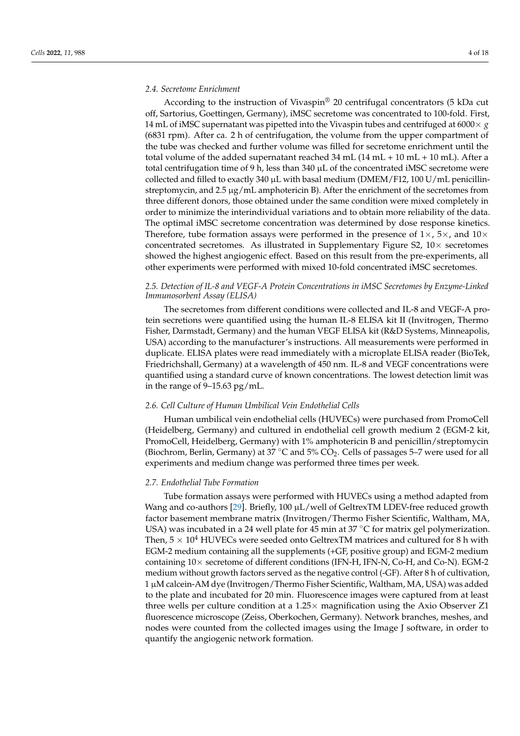#### *2.4. Secretome Enrichment*

According to the instruction of Vivaspin® 20 centrifugal concentrators (5 kDa cut off, Sartorius, Goettingen, Germany), iMSC secretome was concentrated to 100-fold. First, 14 mL of iMSC supernatant was pipetted into the Vivaspin tubes and centrifuged at  $6000 \times g$ (6831 rpm). After ca. 2 h of centrifugation, the volume from the upper compartment of the tube was checked and further volume was filled for secretome enrichment until the total volume of the added supernatant reached  $34$  mL  $(14$  mL  $+$   $10$  mL  $+$   $10$  mL). After a total centrifugation time of 9 h, less than 340  $\mu$ L of the concentrated iMSC secretome were collected and filled to exactly 340  $\mu$ L with basal medium (DMEM/F12, 100 U/mL penicillinstreptomycin, and  $2.5 \mu g/mL$  amphotericin B). After the enrichment of the secretomes from three different donors, those obtained under the same condition were mixed completely in order to minimize the interindividual variations and to obtain more reliability of the data. The optimal iMSC secretome concentration was determined by dose response kinetics. Therefore, tube formation assays were performed in the presence of  $1\times$ ,  $5\times$ , and  $10\times$ concentrated secretomes. As illustrated in Supplementary Figure S2,  $10\times$  secretomes showed the highest angiogenic effect. Based on this result from the pre-experiments, all other experiments were performed with mixed 10-fold concentrated iMSC secretomes.

## *2.5. Detection of IL-8 and VEGF-A Protein Concentrations in iMSC Secretomes by Enzyme-Linked Immunosorbent Assay (ELISA)*

The secretomes from different conditions were collected and IL-8 and VEGF-A protein secretions were quantified using the human IL-8 ELISA kit II (Invitrogen, Thermo Fisher, Darmstadt, Germany) and the human VEGF ELISA kit (R&D Systems, Minneapolis, USA) according to the manufacturer's instructions. All measurements were performed in duplicate. ELISA plates were read immediately with a microplate ELISA reader (BioTek, Friedrichshall, Germany) at a wavelength of 450 nm. IL-8 and VEGF concentrations were quantified using a standard curve of known concentrations. The lowest detection limit was in the range of 9–15.63 pg/mL.

## *2.6. Cell Culture of Human Umbilical Vein Endothelial Cells*

Human umbilical vein endothelial cells (HUVECs) were purchased from PromoCell (Heidelberg, Germany) and cultured in endothelial cell growth medium 2 (EGM-2 kit, PromoCell, Heidelberg, Germany) with 1% amphotericin B and penicillin/streptomycin (Biochrom, Berlin, Germany) at 37 °C and 5%  $CO_2$ . Cells of passages 5–7 were used for all experiments and medium change was performed three times per week.

## *2.7. Endothelial Tube Formation*

Tube formation assays were performed with HUVECs using a method adapted from Wang and co-authors [29]. Briefly, 100  $\mu$ L/well of GeltrexTM LDEV-free reduced growth factor basement membrane matrix (Invitrogen/Thermo Fisher Scientific, Waltham, MA, USA) was incubated in a 24 well plate for 45 min at 37 °C for matrix gel polymerization. Then,  $5 \times 10^4$  HUVECs were seeded onto GeltrexTM matrices and cultured for 8 h with EGM-2 medium containing all the supplements (+GF, positive group) and EGM-2 medium containing  $10\times$  secretome of different conditions (IFN-H, IFN-N, Co-H, and Co-N). EGM-2 medium without growth factors served as the negative control (-GF). After 8 h of cultivation, 1 µM calcein-AM dye (Invitrogen/Thermo Fisher Scientific, Waltham, MA, USA) was added to the plate and incubated for 20 min. Fluorescence images were captured from at least three wells per culture condition at a  $1.25 \times$  magnification using the Axio Observer Z1 fluorescence microscope (Zeiss, Oberkochen, Germany). Network branches, meshes, and nodes were counted from the collected images using the Image J software, in order to quantify the angiogenic network formation.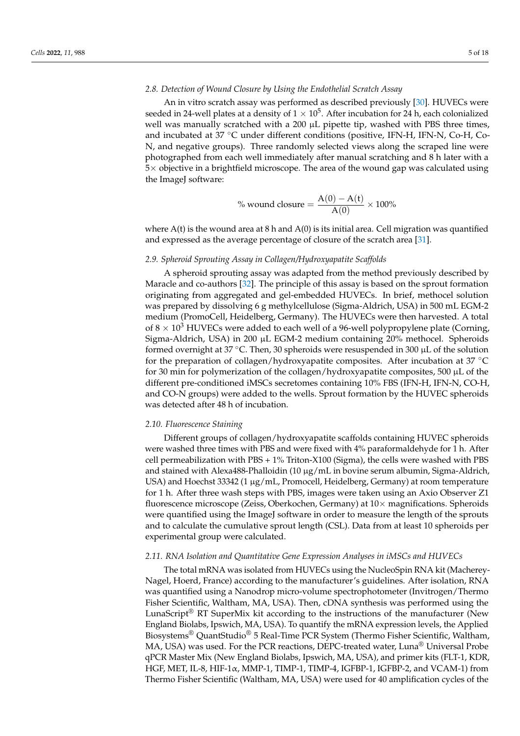#### *2.8. Detection of Wound Closure by Using the Endothelial Scratch Assay*

An in vitro scratch assay was performed as described previously [30]. HUVECs were seeded in 24-well plates at a density of  $1 \times 10^5$ . After incubation for 24 h, each colonialized well was manually scratched with a 200  $\mu$ L pipette tip, washed with PBS three times, and incubated at 37 °C under different conditions (positive, IFN-H, IFN-N, Co-H, Co-N, and negative groups). Three randomly selected views along the scraped line were photographed from each well immediately after manual scratching and 8 h later with a  $5\times$  objective in a brightfield microscope. The area of the wound gap was calculated using the ImageJ software:

% wound closure = 
$$
\frac{A(0) - A(t)}{A(0)} \times 100\%
$$

where  $A(t)$  is the wound area at 8 h and  $A(0)$  is its initial area. Cell migration was quantified and expressed as the average percentage of closure of the scratch area [31].

#### *2.9. Spheroid Sprouting Assay in Collagen/Hydroxyapatite Scaffolds*

A spheroid sprouting assay was adapted from the method previously described by Maracle and co-authors [32]. The principle of this assay is based on the sprout formation originating from aggregated and gel-embedded HUVECs. In brief, methocel solution was prepared by dissolving 6 g methylcellulose (Sigma-Aldrich, USA) in 500 mL EGM-2 medium (PromoCell, Heidelberg, Germany). The HUVECs were then harvested. A total of  $8 \times 10^3$  HUVECs were added to each well of a 96-well polypropylene plate (Corning, Sigma-Aldrich, USA) in 200 µL EGM-2 medium containing 20% methocel. Spheroids formed overnight at 37 °C. Then, 30 spheroids were resuspended in 300  $\mu$ L of the solution for the preparation of collagen/hydroxyapatite composites. After incubation at  $37^{\circ}$ C for 30 min for polymerization of the collagen/hydroxyapatite composites, 500  $\mu$ L of the different pre-conditioned iMSCs secretomes containing 10% FBS (IFN-H, IFN-N, CO-H, and CO-N groups) were added to the wells. Sprout formation by the HUVEC spheroids was detected after 48 h of incubation.

#### *2.10. Fluorescence Staining*

Different groups of collagen/hydroxyapatite scaffolds containing HUVEC spheroids were washed three times with PBS and were fixed with 4% paraformaldehyde for 1 h. After cell permeabilization with PBS + 1% Triton-X100 (Sigma), the cells were washed with PBS and stained with Alexa488-Phalloidin  $(10 \mu g/mL)$  in bovine serum albumin, Sigma-Aldrich, USA) and Hoechst 33342 (1 µg/mL, Promocell, Heidelberg, Germany) at room temperature for 1 h. After three wash steps with PBS, images were taken using an Axio Observer Z1 fluorescence microscope (Zeiss, Oberkochen, Germany) at  $10\times$  magnifications. Spheroids were quantified using the ImageJ software in order to measure the length of the sprouts and to calculate the cumulative sprout length (CSL). Data from at least 10 spheroids per experimental group were calculated.

#### *2.11. RNA Isolation and Quantitative Gene Expression Analyses in iMSCs and HUVECs*

The total mRNA was isolated from HUVECs using the NucleoSpin RNA kit (Macherey-Nagel, Hoerd, France) according to the manufacturer's guidelines. After isolation, RNA was quantified using a Nanodrop micro-volume spectrophotometer (Invitrogen/Thermo Fisher Scientific, Waltham, MA, USA). Then, cDNA synthesis was performed using the LunaScript<sup>®</sup> RT SuperMix kit according to the instructions of the manufacturer (New England Biolabs, Ipswich, MA, USA). To quantify the mRNA expression levels, the Applied Biosystems® QuantStudio® 5 Real-Time PCR System (Thermo Fisher Scientific, Waltham, MA, USA) was used. For the PCR reactions, DEPC-treated water, Luna® Universal Probe qPCR Master Mix (New England Biolabs, Ipswich, MA, USA), and primer kits (FLT-1, KDR, HGF, MET, IL-8, HIF-1 $\alpha$ , MMP-1, TIMP-1, TIMP-4, IGFBP-1, IGFBP-2, and VCAM-1) from Thermo Fisher Scientific (Waltham, MA, USA) were used for 40 amplification cycles of the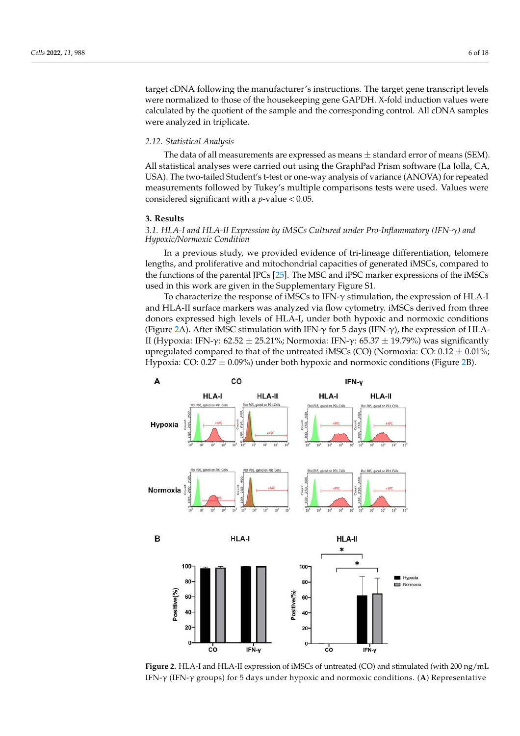target cDNA following the manufacturer's instructions. The target gene transcript levels were normalized to those of the housekeeping gene GAPDH. X-fold induction values were calculated by the quotient of the sample and the corresponding control. All cDNA samples were analyzed in triplicate.

#### *2.12. Statistical Analysis*

The data of all measurements are expressed as means *±* standard error of means (SEM). All statistical analyses were carried out using the GraphPad Prism software (La Jolla, CA, USA). The two-tailed Student's t-test or one-way analysis of variance (ANOVA) for repeated measurements followed by Tukey's multiple comparisons tests were used. Values were considered significant with a *p*-value < 0.05.

#### **3. Results**

## *3.1. HLA-I and HLA-II Expression by iMSCs Cultured under Pro-Inflammatory (IFN-g) and Hypoxic/Normoxic Condition*

In a previous study, we provided evidence of tri-lineage differentiation, telomere lengths, and proliferative and mitochondrial capacities of generated iMSCs, compared to the functions of the parental JPCs [25]. The MSC and iPSC marker expressions of the iMSCs used in this work are given in the Supplementary Figure S1.

To characterize the response of iMSCs to IFN- $\gamma$  stimulation, the expression of HLA-I and HLA-II surface markers was analyzed via flow cytometry. iMSCs derived from three donors expressed high levels of HLA-I, under both hypoxic and normoxic conditions (Figure 2A). After iMSC stimulation with IFN- $\gamma$  for 5 days (IFN- $\gamma$ ), the expression of HLA-II (Hypoxia: IFN- $\gamma$ : 62.52  $\pm$  25.21%; Normoxia: IFN- $\gamma$ : 65.37  $\pm$  19.79%) was significantly upregulated compared to that of the untreated iMSCs (CO) (Normoxia: CO: 0.12 *±* 0.01%; Hypoxia: CO: 0.27 *±* 0.09%) under both hypoxic and normoxic conditions (Figure 2B).



**Figure 2.** HLA-I and HLA-II expression of iMSCs of untreated (CO) and stimulated (with 200 ng/mL IFN- $\gamma$  (IFN- $\gamma$  groups) for 5 days under hypoxic and normoxic conditions. (A) Representative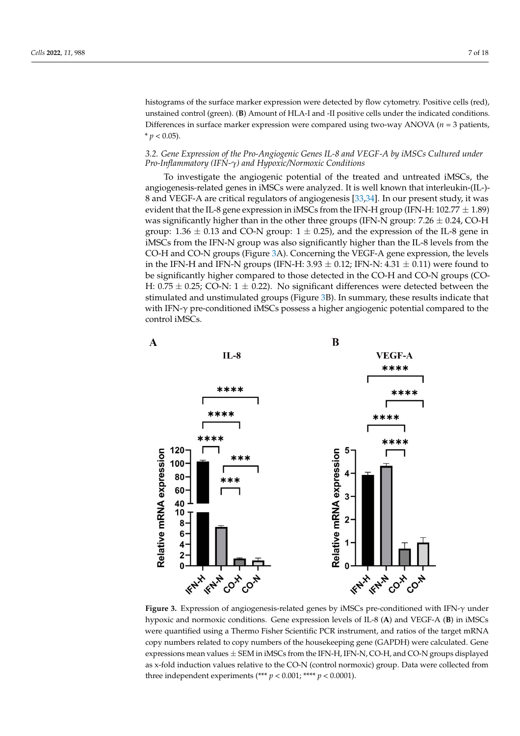histograms of the surface marker expression were detected by flow cytometry. Positive cells (red), unstained control (green). (**B**) Amount of HLA-I and -II positive cells under the indicated conditions. Differences in surface marker expression were compared using two-way ANOVA (*n* = 3 patients,  $* p < 0.05$ ).

#### *3.2. Gene Expression of the Pro-Angiogenic Genes IL-8 and VEGF-A by iMSCs Cultured under Pro-Inflammatory (IFN-g) and Hypoxic/Normoxic Conditions*

To investigate the angiogenic potential of the treated and untreated iMSCs, the angiogenesis-related genes in iMSCs were analyzed. It is well known that interleukin-(IL-)- 8 and VEGF-A are critical regulators of angiogenesis [33,34]. In our present study, it was evident that the IL-8 gene expression in iMSCs from the IFN-H group (IFN-H: 102.77 *±* 1.89) was significantly higher than in the other three groups (IFN-N group: 7.26 *±* 0.24, CO-H group:  $1.36 \pm 0.13$  and CO-N group:  $1 \pm 0.25$ ), and the expression of the IL-8 gene in iMSCs from the IFN-N group was also significantly higher than the IL-8 levels from the CO-H and CO-N groups (Figure 3A). Concerning the VEGF-A gene expression, the levels in the IFN-H and IFN-N groups (IFN-H:  $3.93 \pm 0.12$ ; IFN-N:  $4.31 \pm 0.11$ ) were found to be significantly higher compared to those detected in the CO-H and CO-N groups (CO-H: 0.75  $\pm$  0.25; CO-N: 1  $\pm$  0.22). No significant differences were detected between the stimulated and unstimulated groups (Figure 3B). In summary, these results indicate that with IFN- $\gamma$  pre-conditioned iMSCs possess a higher angiogenic potential compared to the control iMSCs.



**Figure 3.** Expression of angiogenesis-related genes by iMSCs pre-conditioned with IFN- $\gamma$  under hypoxic and normoxic conditions. Gene expression levels of IL-8 (**A**) and VEGF-A (**B**) in iMSCs were quantified using a Thermo Fisher Scientific PCR instrument, and ratios of the target mRNA copy numbers related to copy numbers of the housekeeping gene (GAPDH) were calculated. Gene expressions mean values *±* SEM in iMSCs from the IFN-H, IFN-N, CO-H, and CO-N groups displayed as x-fold induction values relative to the CO-N (control normoxic) group. Data were collected from three independent experiments (\*\*\*  $p < 0.001$ ; \*\*\*\*  $p < 0.0001$ ).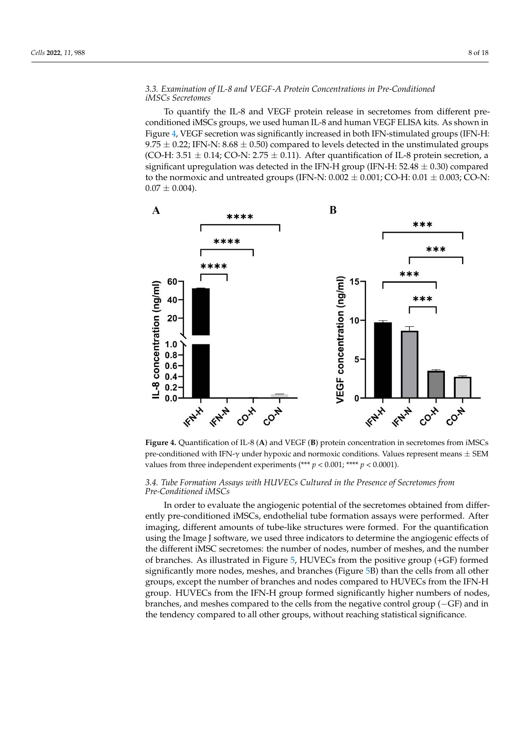## *3.3. Examination of IL-8 and VEGF-A Protein Concentrations in Pre-Conditioned iMSCs Secretomes*

To quantify the IL-8 and VEGF protein release in secretomes from different preconditioned iMSCs groups, we used human IL-8 and human VEGF ELISA kits. As shown in Figure 4, VEGF secretion was significantly increased in both IFN-stimulated groups (IFN-H: 9.75 *±* 0.22; IFN-N: 8.68 *±* 0.50) compared to levels detected in the unstimulated groups (CO-H: 3.51  $\pm$  0.14; CO-N: 2.75  $\pm$  0.11). After quantification of IL-8 protein secretion, a significant upregulation was detected in the IFN-H group (IFN-H: 52.48 *±* 0.30) compared to the normoxic and untreated groups (IFN-N:  $0.002 \pm 0.001$ ; CO-H:  $0.01 \pm 0.003$ ; CO-N:  $0.07 \pm 0.004$ .



**Figure 4.** Quantification of IL-8 (**A**) and VEGF (**B**) protein concentration in secretomes from iMSCs pre-conditioned with IFN- $\gamma$  under hypoxic and normoxic conditions. Values represent means  $\pm$  SEM values from three independent experiments (\*\*\*  $p < 0.001$ ; \*\*\*\*  $p < 0.0001$ ).

## *3.4. Tube Formation Assays with HUVECs Cultured in the Presence of Secretomes from Pre-Conditioned iMSCs*

In order to evaluate the angiogenic potential of the secretomes obtained from differently pre-conditioned iMSCs, endothelial tube formation assays were performed. After imaging, different amounts of tube-like structures were formed. For the quantification using the Image J software, we used three indicators to determine the angiogenic effects of the different iMSC secretomes: the number of nodes, number of meshes, and the number of branches. As illustrated in Figure 5, HUVECs from the positive group (+GF) formed significantly more nodes, meshes, and branches (Figure 5B) than the cells from all other groups, except the number of branches and nodes compared to HUVECs from the IFN-H group. HUVECs from the IFN-H group formed significantly higher numbers of nodes, branches, and meshes compared to the cells from the negative control group  $(-GF)$  and in the tendency compared to all other groups, without reaching statistical significance.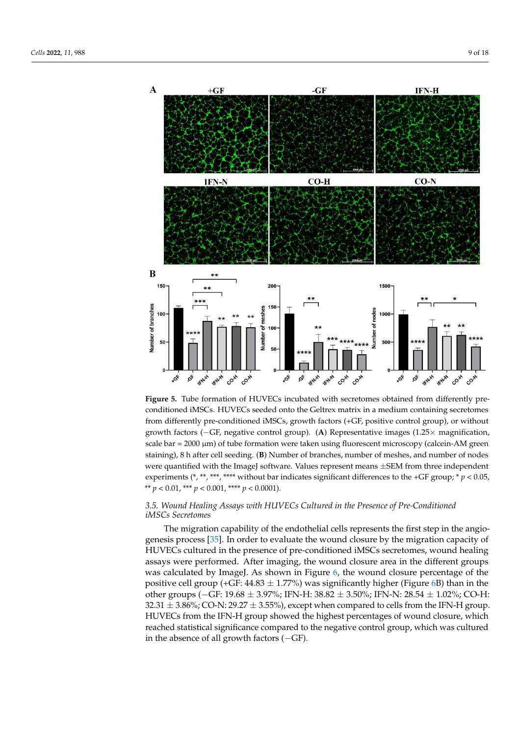

**Figure 5.** Tube formation of HUVECs incubated with secretomes obtained from differently preconditioned iMSCs. HUVECs seeded onto the Geltrex matrix in a medium containing secretomes from differently pre-conditioned iMSCs, growth factors (+GF, positive control group), or without growth factors ( $-GF$ , negative control group). (A) Representative images ( $1.25 \times$  magnification, scale  $bar = 2000 \mu m$ ) of tube formation were taken using fluorescent microscopy (calcein-AM green staining), 8 h after cell seeding. (**B**) Number of branches, number of meshes, and number of nodes were quantified with the ImageJ software. Values represent means  $\pm$ SEM from three independent experiments (\*, \*\*, \*\*\*, \*\*\*\* without bar indicates significant differences to the +GF group; \*  $p$  < 0.05, \*\*  $p < 0.01$ , \*\*\*  $p < 0.001$ , \*\*\*\*  $p < 0.0001$ ).

## *3.5. Wound Healing Assays with HUVECs Cultured in the Presence of Pre-Conditioned iMSCs Secretomes*

The migration capability of the endothelial cells represents the first step in the angiogenesis process [35]. In order to evaluate the wound closure by the migration capacity of HUVECs cultured in the presence of pre-conditioned iMSCs secretomes, wound healing assays were performed. After imaging, the wound closure area in the different groups was calculated by ImageJ. As shown in Figure 6, the wound closure percentage of the positive cell group (+GF: 44.83 *±* 1.77%) was significantly higher (Figure 6B) than in the other groups (GF: 19.68 *±* 3.97%; IFN-H: 38.82 *±* 3.50%; IFN-N: 28.54 *±* 1.02%; CO-H: 32.31 *±* 3.86%; CO-N: 29.27 *±* 3.55%), except when compared to cells from the IFN-H group. HUVECs from the IFN-H group showed the highest percentages of wound closure, which reached statistical significance compared to the negative control group, which was cultured in the absence of all growth factors  $(-GF)$ .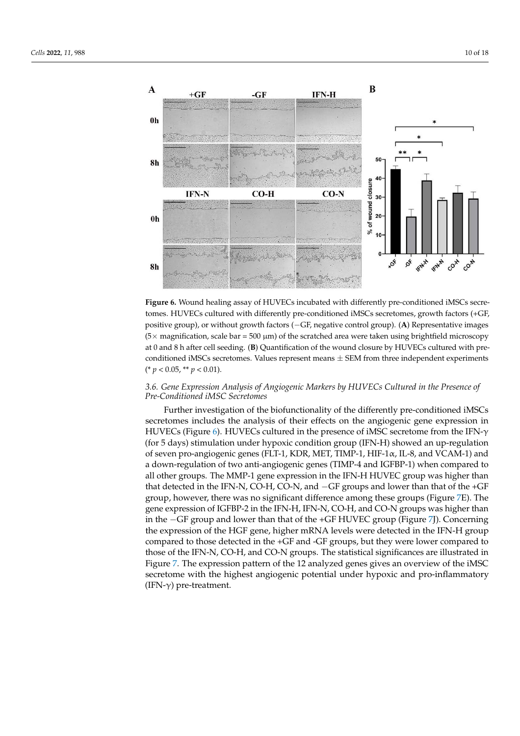

Figure 6. Wound healing assay of HUVECs incubated with differently pre-conditioned iMSCs secretomes. HUVECs cultured with differently pre-conditioned iMSCs secretomes, growth factors (+GF, positive group), or without growth factors (-GF, negative control group). (A) Representative images  $(5 \times$  magnification, scale bar = 500  $\mu$ m) of the scratched area were taken using brightfield microscopy at 0 and 8 h after cell seeding. (**B**) Quantification of the wound closure by HUVECs cultured with preconditioned iMSCs secretomes. Values represent means *±* SEM from three independent experiments (\* *p* < 0.05, \*\* *p* < 0.01).

## *3.6. Gene Expression Analysis of Angiogenic Markers by HUVECs Cultured in the Presence of Pre-Conditioned iMSC Secretomes*

Further investigation of the biofunctionality of the differently pre-conditioned iMSCs secretomes includes the analysis of their effects on the angiogenic gene expression in HUVECs (Figure 6). HUVECs cultured in the presence of iMSC secretome from the IFN- $\gamma$ (for 5 days) stimulation under hypoxic condition group (IFN-H) showed an up-regulation of seven pro-angiogenic genes (FLT-1, KDR, MET, TIMP-1, HIF-1 $\alpha$ , IL-8, and VCAM-1) and a down-regulation of two anti-angiogenic genes (TIMP-4 and IGFBP-1) when compared to all other groups. The MMP-1 gene expression in the IFN-H HUVEC group was higher than that detected in the IFN-N, CO-H, CO-N, and  $-GF$  groups and lower than that of the +GF group, however, there was no significant difference among these groups (Figure 7E). The gene expression of IGFBP-2 in the IFN-H, IFN-N, CO-H, and CO-N groups was higher than in the GF group and lower than that of the +GF HUVEC group (Figure 7J). Concerning the expression of the HGF gene, higher mRNA levels were detected in the IFN-H group compared to those detected in the +GF and -GF groups, but they were lower compared to those of the IFN-N, CO-H, and CO-N groups. The statistical significances are illustrated in Figure 7. The expression pattern of the 12 analyzed genes gives an overview of the iMSC secretome with the highest angiogenic potential under hypoxic and pro-inflammatory (IFN- $\gamma$ ) pre-treatment.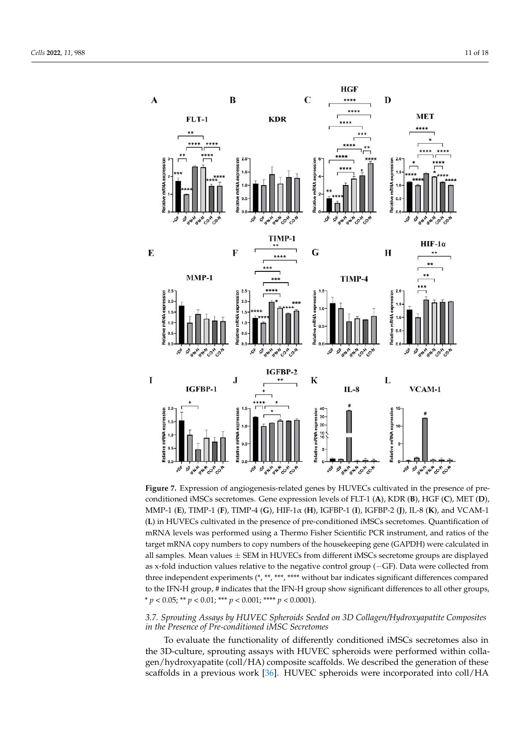

**Figure 7.** Expression of angiogenesis-related genes by HUVECs cultivated in the presence of preconditioned iMSCs secretomes. Gene expression levels of FLT-1 (**A**), KDR (**B**), HGF (**C**), MET (**D**), MMP-1 (**E**), TIMP-1 (**F**), TIMP-4 (**G**), HIF-1↵ (**H**), IGFBP-1 (**I**), IGFBP-2 (**J**), IL-8 (**K**), and VCAM-1 (**L**) in HUVECs cultivated in the presence of pre-conditioned iMSCs secretomes. Quantification of mRNA levels was performed using a Thermo Fisher Scientific PCR instrument, and ratios of the target mRNA copy numbers to copy numbers of the housekeeping gene (GAPDH) were calculated in all samples. Mean values *±* SEM in HUVECs from different iMSCs secretome groups are displayed as x-fold induction values relative to the negative control group  $(-GF)$ . Data were collected from three independent experiments (\*, \*\*, \*\*\*, \*\*\*\* without bar indicates significant differences compared to the IFN-H group, # indicates that the IFN-H group show significant differences to all other groups, \* *p* < 0.05; \*\* *p* < 0.01; \*\*\* *p* < 0.001; \*\*\*\* *p* < 0.0001).

## *3.7. Sprouting Assays by HUVEC Spheroids Seeded on 3D Collagen/Hydroxyapatite Composites in the Presence of Pre-conditioned iMSC Secretomes*

To evaluate the functionality of differently conditioned iMSCs secretomes also in the 3D-culture, sprouting assays with HUVEC spheroids were performed within collagen/hydroxyapatite (coll/HA) composite scaffolds. We described the generation of these scaffolds in a previous work [36]. HUVEC spheroids were incorporated into coll/HA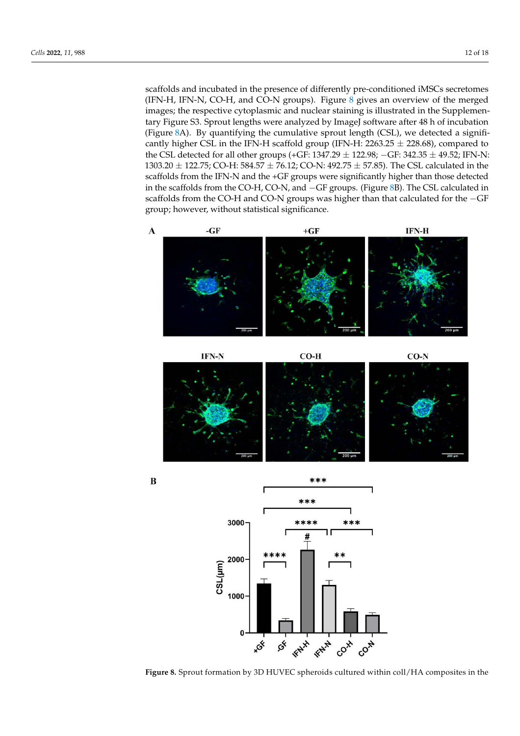scaffolds and incubated in the presence of differently pre-conditioned iMSCs secretomes (IFN-H, IFN-N, CO-H, and CO-N groups). Figure 8 gives an overview of the merged images; the respective cytoplasmic and nuclear staining is illustrated in the Supplementary Figure S3. Sprout lengths were analyzed by ImageJ software after 48 h of incubation (Figure 8A). By quantifying the cumulative sprout length (CSL), we detected a significantly higher CSL in the IFN-H scaffold group (IFN-H: 2263.25 *±* 228.68), compared to the CSL detected for all other groups (+GF: 1347.29  $\pm$  122.98; -GF: 342.35  $\pm$  49.52; IFN-N: 1303.20 *±* 122.75; CO-H: 584.57 *±* 76.12; CO-N: 492.75 *±* 57.85). The CSL calculated in the scaffolds from the IFN-N and the +GF groups were significantly higher than those detected in the scaffolds from the CO-H, CO-N, and  $-GF$  groups. (Figure 8B). The CSL calculated in scaffolds from the CO-H and CO-N groups was higher than that calculated for the  $-GF$ group; however, without statistical significance.







不太太了

CO-X

CO-N

**KNY** 

 $\mathcal{S}^k$ 

1000

 $\sqrt{2}$ 

**ACK**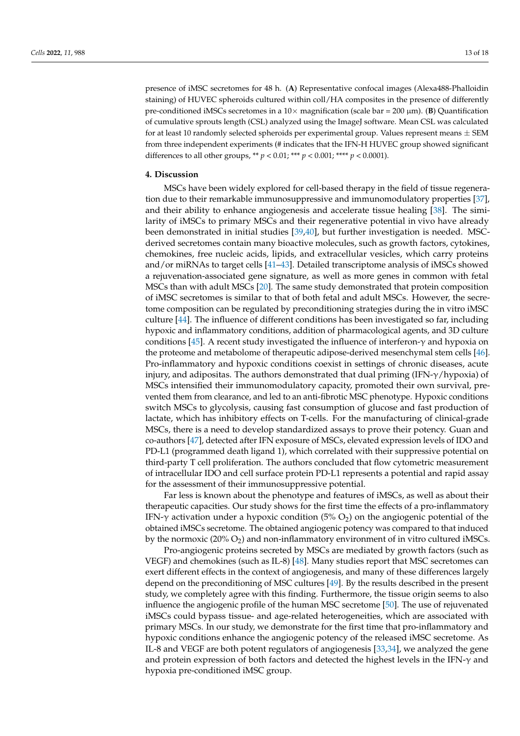presence of iMSC secretomes for 48 h. (**A**) Representative confocal images (Alexa488-Phalloidin staining) of HUVEC spheroids cultured within coll/HA composites in the presence of differently pre-conditioned iMSCs secretomes in a  $10 \times$  magnification (scale bar = 200  $\mu$ m). (**B**) Quantification of cumulative sprouts length (CSL) analyzed using the ImageJ software. Mean CSL was calculated for at least 10 randomly selected spheroids per experimental group. Values represent means *±* SEM from three independent experiments (# indicates that the IFN-H HUVEC group showed significant differences to all other groups, \*\*  $p < 0.01$ ; \*\*\*  $p < 0.001$ ; \*\*\*\*  $p < 0.0001$ ).

#### **4. Discussion**

MSCs have been widely explored for cell-based therapy in the field of tissue regeneration due to their remarkable immunosuppressive and immunomodulatory properties [37], and their ability to enhance angiogenesis and accelerate tissue healing [38]. The similarity of iMSCs to primary MSCs and their regenerative potential in vivo have already been demonstrated in initial studies [39,40], but further investigation is needed. MSCderived secretomes contain many bioactive molecules, such as growth factors, cytokines, chemokines, free nucleic acids, lipids, and extracellular vesicles, which carry proteins and/or miRNAs to target cells [41–43]. Detailed transcriptome analysis of iMSCs showed a rejuvenation-associated gene signature, as well as more genes in common with fetal MSCs than with adult MSCs [20]. The same study demonstrated that protein composition of iMSC secretomes is similar to that of both fetal and adult MSCs. However, the secretome composition can be regulated by preconditioning strategies during the in vitro iMSC culture [44]. The influence of different conditions has been investigated so far, including hypoxic and inflammatory conditions, addition of pharmacological agents, and 3D culture conditions [45]. A recent study investigated the influence of interferon- $\gamma$  and hypoxia on the proteome and metabolome of therapeutic adipose-derived mesenchymal stem cells [46]. Pro-inflammatory and hypoxic conditions coexist in settings of chronic diseases, acute injury, and adipositas. The authors demonstrated that dual priming  $(IFN-\gamma/hypoxia)$  of MSCs intensified their immunomodulatory capacity, promoted their own survival, prevented them from clearance, and led to an anti-fibrotic MSC phenotype. Hypoxic conditions switch MSCs to glycolysis, causing fast consumption of glucose and fast production of lactate, which has inhibitory effects on T-cells. For the manufacturing of clinical-grade MSCs, there is a need to develop standardized assays to prove their potency. Guan and co-authors [47], detected after IFN exposure of MSCs, elevated expression levels of IDO and PD-L1 (programmed death ligand 1), which correlated with their suppressive potential on third-party T cell proliferation. The authors concluded that flow cytometric measurement of intracellular IDO and cell surface protein PD-L1 represents a potential and rapid assay for the assessment of their immunosuppressive potential.

Far less is known about the phenotype and features of iMSCs, as well as about their therapeutic capacities. Our study shows for the first time the effects of a pro-inflammatory IFN- $\gamma$  activation under a hypoxic condition (5% O<sub>2</sub>) on the angiogenic potential of the obtained iMSCs secretome. The obtained angiogenic potency was compared to that induced by the normoxic  $(20\% O_2)$  and non-inflammatory environment of in vitro cultured iMSCs.

Pro-angiogenic proteins secreted by MSCs are mediated by growth factors (such as VEGF) and chemokines (such as IL-8) [48]. Many studies report that MSC secretomes can exert different effects in the context of angiogenesis, and many of these differences largely depend on the preconditioning of MSC cultures [49]. By the results described in the present study, we completely agree with this finding. Furthermore, the tissue origin seems to also influence the angiogenic profile of the human MSC secretome [50]. The use of rejuvenated iMSCs could bypass tissue- and age-related heterogeneities, which are associated with primary MSCs. In our study, we demonstrate for the first time that pro-inflammatory and hypoxic conditions enhance the angiogenic potency of the released iMSC secretome. As IL-8 and VEGF are both potent regulators of angiogenesis [33,34], we analyzed the gene and protein expression of both factors and detected the highest levels in the IFN- $\gamma$  and hypoxia pre-conditioned iMSC group.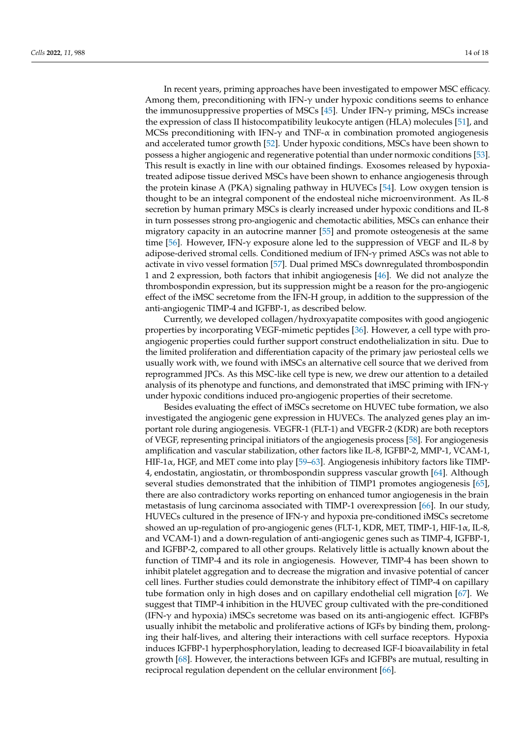In recent years, priming approaches have been investigated to empower MSC efficacy. Among them, preconditioning with IFN- $\gamma$  under hypoxic conditions seems to enhance the immunosuppressive properties of MSCs  $[45]$ . Under IFN- $\gamma$  priming, MSCs increase the expression of class II histocompatibility leukocyte antigen (HLA) molecules [51], and MCSs preconditioning with IFN- $\gamma$  and TNF- $\alpha$  in combination promoted angiogenesis and accelerated tumor growth [52]. Under hypoxic conditions, MSCs have been shown to possess a higher angiogenic and regenerative potential than under normoxic conditions [53]. This result is exactly in line with our obtained findings. Exosomes released by hypoxiatreated adipose tissue derived MSCs have been shown to enhance angiogenesis through the protein kinase A (PKA) signaling pathway in HUVECs [54]. Low oxygen tension is thought to be an integral component of the endosteal niche microenvironment. As IL-8 secretion by human primary MSCs is clearly increased under hypoxic conditions and IL-8 in turn possesses strong pro-angiogenic and chemotactic abilities, MSCs can enhance their migratory capacity in an autocrine manner [55] and promote osteogenesis at the same time [56]. However, IFN- $\gamma$  exposure alone led to the suppression of VEGF and IL-8 by adipose-derived stromal cells. Conditioned medium of IFN- $\gamma$  primed ASCs was not able to activate in vivo vessel formation [57]. Dual primed MSCs downregulated thrombospondin 1 and 2 expression, both factors that inhibit angiogenesis [46]. We did not analyze the thrombospondin expression, but its suppression might be a reason for the pro-angiogenic effect of the iMSC secretome from the IFN-H group, in addition to the suppression of the anti-angiogenic TIMP-4 and IGFBP-1, as described below.

Currently, we developed collagen/hydroxyapatite composites with good angiogenic properties by incorporating VEGF-mimetic peptides [36]. However, a cell type with proangiogenic properties could further support construct endothelialization in situ. Due to the limited proliferation and differentiation capacity of the primary jaw periosteal cells we usually work with, we found with iMSCs an alternative cell source that we derived from reprogrammed JPCs. As this MSC-like cell type is new, we drew our attention to a detailed analysis of its phenotype and functions, and demonstrated that iMSC priming with IFN- $\gamma$ under hypoxic conditions induced pro-angiogenic properties of their secretome.

Besides evaluating the effect of iMSCs secretome on HUVEC tube formation, we also investigated the angiogenic gene expression in HUVECs. The analyzed genes play an important role during angiogenesis. VEGFR-1 (FLT-1) and VEGFR-2 (KDR) are both receptors of VEGF, representing principal initiators of the angiogenesis process [58]. For angiogenesis amplification and vascular stabilization, other factors like IL-8, IGFBP-2, MMP-1, VCAM-1, HIF-1 $\alpha$ , HGF, and MET come into play [59–63]. Angiogenesis inhibitory factors like TIMP-4, endostatin, angiostatin, or thrombospondin suppress vascular growth [64]. Although several studies demonstrated that the inhibition of TIMP1 promotes angiogenesis [65], there are also contradictory works reporting on enhanced tumor angiogenesis in the brain metastasis of lung carcinoma associated with TIMP-1 overexpression [66]. In our study, HUVECs cultured in the presence of  $IFN-\gamma$  and hypoxia pre-conditioned iMSCs secretome showed an up-regulation of pro-angiogenic genes (FLT-1, KDR, MET, TIMP-1, HIF-1 $\alpha$ , IL-8, and VCAM-1) and a down-regulation of anti-angiogenic genes such as TIMP-4, IGFBP-1, and IGFBP-2, compared to all other groups. Relatively little is actually known about the function of TIMP-4 and its role in angiogenesis. However, TIMP-4 has been shown to inhibit platelet aggregation and to decrease the migration and invasive potential of cancer cell lines. Further studies could demonstrate the inhibitory effect of TIMP-4 on capillary tube formation only in high doses and on capillary endothelial cell migration [67]. We suggest that TIMP-4 inhibition in the HUVEC group cultivated with the pre-conditioned  $(IFN-\gamma)$  and hypoxia) iMSCs secretome was based on its anti-angiogenic effect. IGFBPs usually inhibit the metabolic and proliferative actions of IGFs by binding them, prolonging their half-lives, and altering their interactions with cell surface receptors. Hypoxia induces IGFBP-1 hyperphosphorylation, leading to decreased IGF-I bioavailability in fetal growth [68]. However, the interactions between IGFs and IGFBPs are mutual, resulting in reciprocal regulation dependent on the cellular environment [66].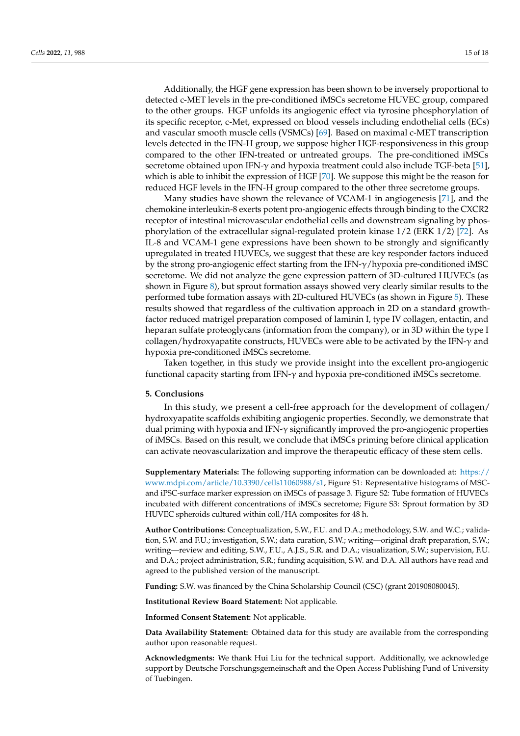Additionally, the HGF gene expression has been shown to be inversely proportional to detected c-MET levels in the pre-conditioned iMSCs secretome HUVEC group, compared to the other groups. HGF unfolds its angiogenic effect via tyrosine phosphorylation of its specific receptor, c-Met, expressed on blood vessels including endothelial cells (ECs) and vascular smooth muscle cells (VSMCs) [69]. Based on maximal c-MET transcription levels detected in the IFN-H group, we suppose higher HGF-responsiveness in this group compared to the other IFN-treated or untreated groups. The pre-conditioned iMSCs secretome obtained upon IFN- $\gamma$  and hypoxia treatment could also include TGF-beta [51], which is able to inhibit the expression of HGF [70]. We suppose this might be the reason for reduced HGF levels in the IFN-H group compared to the other three secretome groups.

Many studies have shown the relevance of VCAM-1 in angiogenesis [71], and the chemokine interleukin-8 exerts potent pro-angiogenic effects through binding to the CXCR2 receptor of intestinal microvascular endothelial cells and downstream signaling by phosphorylation of the extracellular signal-regulated protein kinase 1/2 (ERK 1/2) [72]. As IL-8 and VCAM-1 gene expressions have been shown to be strongly and significantly upregulated in treated HUVECs, we suggest that these are key responder factors induced by the strong pro-angiogenic effect starting from the IFN- $\gamma$ /hypoxia pre-conditioned iMSC secretome. We did not analyze the gene expression pattern of 3D-cultured HUVECs (as shown in Figure 8), but sprout formation assays showed very clearly similar results to the performed tube formation assays with 2D-cultured HUVECs (as shown in Figure 5). These results showed that regardless of the cultivation approach in 2D on a standard growthfactor reduced matrigel preparation composed of laminin I, type IV collagen, entactin, and heparan sulfate proteoglycans (information from the company), or in 3D within the type I collagen/hydroxyapatite constructs, HUVECs were able to be activated by the IFN- $\gamma$  and hypoxia pre-conditioned iMSCs secretome.

Taken together, in this study we provide insight into the excellent pro-angiogenic functional capacity starting from IFN- $\gamma$  and hypoxia pre-conditioned iMSCs secretome.

#### **5. Conclusions**

In this study, we present a cell-free approach for the development of collagen/ hydroxyapatite scaffolds exhibiting angiogenic properties. Secondly, we demonstrate that dual priming with hypoxia and IFN- $\gamma$  significantly improved the pro-angiogenic properties of iMSCs. Based on this result, we conclude that iMSCs priming before clinical application can activate neovascularization and improve the therapeutic efficacy of these stem cells.

**Supplementary Materials:** The following supporting information can be downloaded at: https:// www.mdpi.com/article/10.3390/cells11060988/s1, Figure S1: Representative histograms of MSCand iPSC-surface marker expression on iMSCs of passage 3. Figure S2: Tube formation of HUVECs incubated with different concentrations of iMSCs secretome; Figure S3: Sprout formation by 3D HUVEC spheroids cultured within coll/HA composites for 48 h.

**Author Contributions:** Conceptualization, S.W., F.U. and D.A.; methodology, S.W. and W.C.; validation, S.W. and F.U.; investigation, S.W.; data curation, S.W.; writing—original draft preparation, S.W.; writing—review and editing, S.W., F.U., A.J.S., S.R. and D.A.; visualization, S.W.; supervision, F.U. and D.A.; project administration, S.R.; funding acquisition, S.W. and D.A. All authors have read and agreed to the published version of the manuscript.

**Funding:** S.W. was financed by the China Scholarship Council (CSC) (grant 201908080045).

**Institutional Review Board Statement:** Not applicable.

**Informed Consent Statement:** Not applicable.

**Data Availability Statement:** Obtained data for this study are available from the corresponding author upon reasonable request.

**Acknowledgments:** We thank Hui Liu for the technical support. Additionally, we acknowledge support by Deutsche Forschungsgemeinschaft and the Open Access Publishing Fund of University of Tuebingen.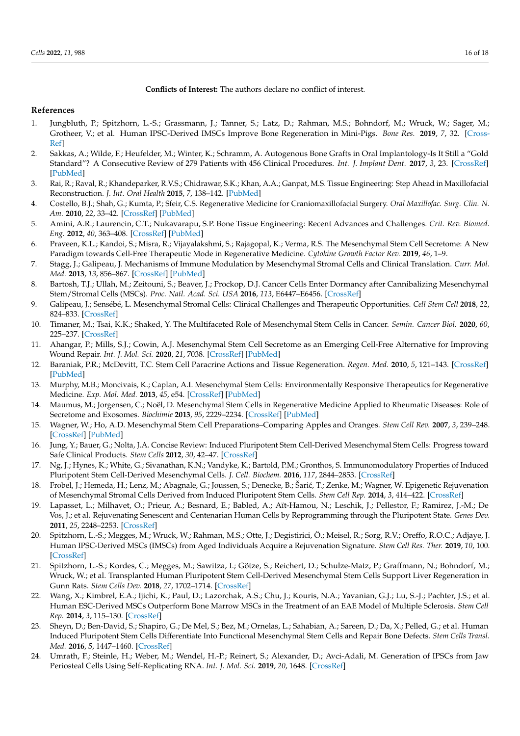## **Conflicts of Interest:** The authors declare no conflict of interest.

## **References**

- 1. Jungbluth, P.; Spitzhorn, L.-S.; Grassmann, J.; Tanner, S.; Latz, D.; Rahman, M.S.; Bohndorf, M.; Wruck, W.; Sager, M.; Grotheer, V.; et al. Human IPSC-Derived IMSCs Improve Bone Regeneration in Mini-Pigs. *Bone Res.* **2019**, *7*, 32. [Cross-Ref]
- 2. Sakkas, A.; Wilde, F.; Heufelder, M.; Winter, K.; Schramm, A. Autogenous Bone Grafts in Oral Implantology-Is It Still a "Gold Standard"? A Consecutive Review of 279 Patients with 456 Clinical Procedures. *Int. J. Implant Dent.* **2017**, *3*, 23. [CrossRef] [PubMed]
- 3. Rai, R.; Raval, R.; Khandeparker, R.V.S.; Chidrawar, S.K.; Khan, A.A.; Ganpat, M.S. Tissue Engineering: Step Ahead in Maxillofacial Reconstruction. *J. Int. Oral Health* **2015**, *7*, 138–142. [PubMed]
- 4. Costello, B.J.; Shah, G.; Kumta, P.; Sfeir, C.S. Regenerative Medicine for Craniomaxillofacial Surgery. *Oral Maxillofac. Surg. Clin. N. Am.* **2010**, *22*, 33–42. [CrossRef] [PubMed]
- 5. Amini, A.R.; Laurencin, C.T.; Nukavarapu, S.P. Bone Tissue Engineering: Recent Advances and Challenges. *Crit. Rev. Biomed. Eng.* **2012**, *40*, 363–408. [CrossRef] [PubMed]
- 6. Praveen, K.L.; Kandoi, S.; Misra, R.; Vijayalakshmi, S.; Rajagopal, K.; Verma, R.S. The Mesenchymal Stem Cell Secretome: A New Paradigm towards Cell-Free Therapeutic Mode in Regenerative Medicine. *Cytokine Growth Factor Rev.* **2019**, *46*, 1–9.
- 7. Stagg, J.; Galipeau, J. Mechanisms of Immune Modulation by Mesenchymal Stromal Cells and Clinical Translation. *Curr. Mol. Med.* **2013**, *13*, 856–867. [CrossRef] [PubMed]
- 8. Bartosh, T.J.; Ullah, M.; Zeitouni, S.; Beaver, J.; Prockop, D.J. Cancer Cells Enter Dormancy after Cannibalizing Mesenchymal Stem/Stromal Cells (MSCs). *Proc. Natl. Acad. Sci. USA* **2016**, *113*, E6447–E6456. [CrossRef]
- 9. Galipeau, J.; Sensébé, L. Mesenchymal Stromal Cells: Clinical Challenges and Therapeutic Opportunities. *Cell Stem Cell* **2018**, *22*, 824–833. [CrossRef]
- 10. Timaner, M.; Tsai, K.K.; Shaked, Y. The Multifaceted Role of Mesenchymal Stem Cells in Cancer. *Semin. Cancer Biol.* **2020**, *60*, 225–237. [CrossRef]
- 11. Ahangar, P.; Mills, S.J.; Cowin, A.J. Mesenchymal Stem Cell Secretome as an Emerging Cell-Free Alternative for Improving Wound Repair. *Int. J. Mol. Sci.* **2020**, *21*, 7038. [CrossRef] [PubMed]
- 12. Baraniak, P.R.; McDevitt, T.C. Stem Cell Paracrine Actions and Tissue Regeneration. *Regen. Med.* **2010**, *5*, 121–143. [CrossRef] [PubMed]
- 13. Murphy, M.B.; Moncivais, K.; Caplan, A.I. Mesenchymal Stem Cells: Environmentally Responsive Therapeutics for Regenerative Medicine. *Exp. Mol. Med.* **2013**, *45*, e54. [CrossRef] [PubMed]
- 14. Maumus, M.; Jorgensen, C.; Noël, D. Mesenchymal Stem Cells in Regenerative Medicine Applied to Rheumatic Diseases: Role of Secretome and Exosomes. *Biochimie* **2013**, *95*, 2229–2234. [CrossRef] [PubMed]
- 15. Wagner, W.; Ho, A.D. Mesenchymal Stem Cell Preparations–Comparing Apples and Oranges. *Stem Cell Rev.* **2007**, *3*, 239–248. [CrossRef] [PubMed]
- 16. Jung, Y.; Bauer, G.; Nolta, J.A. Concise Review: Induced Pluripotent Stem Cell-Derived Mesenchymal Stem Cells: Progress toward Safe Clinical Products. *Stem Cells* **2012**, *30*, 42–47. [CrossRef]
- 17. Ng, J.; Hynes, K.; White, G.; Sivanathan, K.N.; Vandyke, K.; Bartold, P.M.; Gronthos, S. Immunomodulatory Properties of Induced Pluripotent Stem Cell-Derived Mesenchymal Cells. *J. Cell. Biochem.* **2016**, *117*, 2844–2853. [CrossRef]
- 18. Frobel, J.; Hemeda, H.; Lenz, M.; Abagnale, G.; Joussen, S.; Denecke, B.; Šarić, T.; Zenke, M.; Wagner, W. Epigenetic Rejuvenation of Mesenchymal Stromal Cells Derived from Induced Pluripotent Stem Cells. *Stem Cell Rep.* **2014**, *3*, 414–422. [CrossRef]
- 19. Lapasset, L.; Milhavet, O.; Prieur, A.; Besnard, E.; Babled, A.; Aït-Hamou, N.; Leschik, J.; Pellestor, F.; Ramirez, J.-M.; De Vos, J.; et al. Rejuvenating Senescent and Centenarian Human Cells by Reprogramming through the Pluripotent State. *Genes Dev.* **2011**, *25*, 2248–2253. [CrossRef]
- 20. Spitzhorn, L.-S.; Megges, M.; Wruck, W.; Rahman, M.S.; Otte, J.; Degistirici, Ö.; Meisel, R.; Sorg, R.V.; Oreffo, R.O.C.; Adjaye, J. Human IPSC-Derived MSCs (IMSCs) from Aged Individuals Acquire a Rejuvenation Signature. *Stem Cell Res. Ther.* **2019**, *10*, 100. [CrossRef]
- 21. Spitzhorn, L.-S.; Kordes, C.; Megges, M.; Sawitza, I.; Götze, S.; Reichert, D.; Schulze-Matz, P.; Graffmann, N.; Bohndorf, M.; Wruck, W.; et al. Transplanted Human Pluripotent Stem Cell-Derived Mesenchymal Stem Cells Support Liver Regeneration in Gunn Rats. *Stem Cells Dev.* **2018**, *27*, 1702–1714. [CrossRef]
- 22. Wang, X.; Kimbrel, E.A.; Ijichi, K.; Paul, D.; Lazorchak, A.S.; Chu, J.; Kouris, N.A.; Yavanian, G.J.; Lu, S.-J.; Pachter, J.S.; et al. Human ESC-Derived MSCs Outperform Bone Marrow MSCs in the Treatment of an EAE Model of Multiple Sclerosis. *Stem Cell Rep.* **2014**, *3*, 115–130. [CrossRef]
- 23. Sheyn, D.; Ben-David, S.; Shapiro, G.; De Mel, S.; Bez, M.; Ornelas, L.; Sahabian, A.; Sareen, D.; Da, X.; Pelled, G.; et al. Human Induced Pluripotent Stem Cells Differentiate Into Functional Mesenchymal Stem Cells and Repair Bone Defects. *Stem Cells Transl. Med.* **2016**, *5*, 1447–1460. [CrossRef]
- 24. Umrath, F.; Steinle, H.; Weber, M.; Wendel, H.-P.; Reinert, S.; Alexander, D.; Avci-Adali, M. Generation of IPSCs from Jaw Periosteal Cells Using Self-Replicating RNA. *Int. J. Mol. Sci.* **2019**, *20*, 1648. [CrossRef]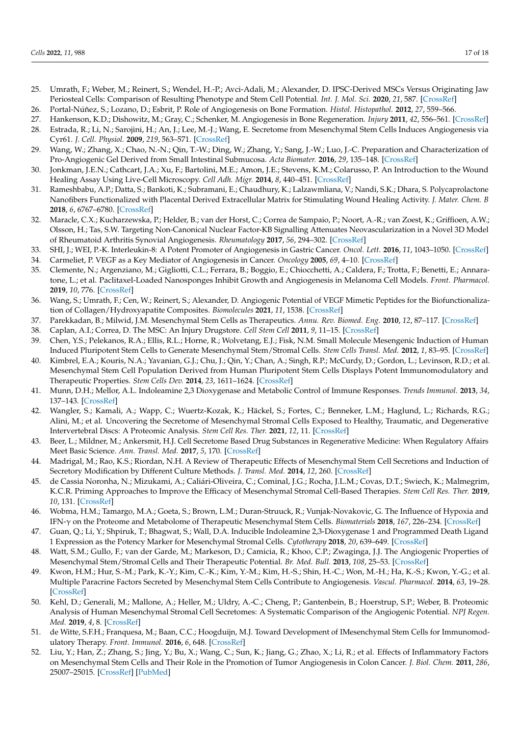- 25. Umrath, F.; Weber, M.; Reinert, S.; Wendel, H.-P.; Avci-Adali, M.; Alexander, D. IPSC-Derived MSCs Versus Originating Jaw Periosteal Cells: Comparison of Resulting Phenotype and Stem Cell Potential. *Int. J. Mol. Sci.* **2020**, *21*, 587. [CrossRef]
- 26. Portal-Núñez, S.; Lozano, D.; Esbrit, P. Role of Angiogenesis on Bone Formation. *Histol. Histopathol.* **2012**, *27*, 559–566.
- 27. Hankenson, K.D.; Dishowitz, M.; Gray, C.; Schenker, M. Angiogenesis in Bone Regeneration. *Injury* **2011**, *42*, 556–561. [CrossRef]
- 28. Estrada, R.; Li, N.; Sarojini, H.; An, J.; Lee, M.-J.; Wang, E. Secretome from Mesenchymal Stem Cells Induces Angiogenesis via Cyr61. *J. Cell. Physiol.* **2009**, *219*, 563–571. [CrossRef]
- 29. Wang, W.; Zhang, X.; Chao, N.-N.; Qin, T.-W.; Ding, W.; Zhang, Y.; Sang, J.-W.; Luo, J.-C. Preparation and Characterization of Pro-Angiogenic Gel Derived from Small Intestinal Submucosa. *Acta Biomater.* **2016**, *29*, 135–148. [CrossRef]
- 30. Jonkman, J.E.N.; Cathcart, J.A.; Xu, F.; Bartolini, M.E.; Amon, J.E.; Stevens, K.M.; Colarusso, P. An Introduction to the Wound Healing Assay Using Live-Cell Microscopy. *Cell Adh. Migr.* **2014**, *8*, 440–451. [CrossRef]
- 31. Rameshbabu, A.P.; Datta, S.; Bankoti, K.; Subramani, E.; Chaudhury, K.; Lalzawmliana, V.; Nandi, S.K.; Dhara, S. Polycaprolactone Nanofibers Functionalized with Placental Derived Extracellular Matrix for Stimulating Wound Healing Activity. *J. Mater. Chem. B* **2018**, *6*, 6767–6780. [CrossRef]
- 32. Maracle, C.X.; Kucharzewska, P.; Helder, B.; van der Horst, C.; Correa de Sampaio, P.; Noort, A.-R.; van Zoest, K.; Griffioen, A.W.; Olsson, H.; Tas, S.W. Targeting Non-Canonical Nuclear Factor-KB Signalling Attenuates Neovascularization in a Novel 3D Model of Rheumatoid Arthritis Synovial Angiogenesis. *Rheumatology* **2017**, *56*, 294–302. [CrossRef]
- 33. SHI, J.; WEI, P.-K. Interleukin-8: A Potent Promoter of Angiogenesis in Gastric Cancer. *Oncol. Lett.* **2016**, *11*, 1043–1050. [CrossRef]
- 34. Carmeliet, P. VEGF as a Key Mediator of Angiogenesis in Cancer. *Oncology* **2005**, *69*, 4–10. [CrossRef]
- 35. Clemente, N.; Argenziano, M.; Gigliotti, C.L.; Ferrara, B.; Boggio, E.; Chiocchetti, A.; Caldera, F.; Trotta, F.; Benetti, E.; Annaratone, L.; et al. Paclitaxel-Loaded Nanosponges Inhibit Growth and Angiogenesis in Melanoma Cell Models. *Front. Pharmacol.* **2019**, *10*, 776. [CrossRef]
- 36. Wang, S.; Umrath, F.; Cen, W.; Reinert, S.; Alexander, D. Angiogenic Potential of VEGF Mimetic Peptides for the Biofunctionalization of Collagen/Hydroxyapatite Composites. *Biomolecules* **2021**, *11*, 1538. [CrossRef]
- 37. Parekkadan, B.; Milwid, J.M. Mesenchymal Stem Cells as Therapeutics. *Annu. Rev. Biomed. Eng.* **2010**, *12*, 87–117. [CrossRef]
- 38. Caplan, A.I.; Correa, D. The MSC: An Injury Drugstore. *Cell Stem Cell* **2011**, *9*, 11–15. [CrossRef]
- 39. Chen, Y.S.; Pelekanos, R.A.; Ellis, R.L.; Horne, R.; Wolvetang, E.J.; Fisk, N.M. Small Molecule Mesengenic Induction of Human Induced Pluripotent Stem Cells to Generate Mesenchymal Stem/Stromal Cells. *Stem Cells Transl. Med.* **2012**, *1*, 83–95. [CrossRef]
- 40. Kimbrel, E.A.; Kouris, N.A.; Yavanian, G.J.; Chu, J.; Qin, Y.; Chan, A.; Singh, R.P.; McCurdy, D.; Gordon, L.; Levinson, R.D.; et al. Mesenchymal Stem Cell Population Derived from Human Pluripotent Stem Cells Displays Potent Immunomodulatory and Therapeutic Properties. *Stem Cells Dev.* **2014**, *23*, 1611–1624. [CrossRef]
- 41. Munn, D.H.; Mellor, A.L. Indoleamine 2,3 Dioxygenase and Metabolic Control of Immune Responses. *Trends Immunol.* **2013**, *34*, 137–143. [CrossRef]
- 42. Wangler, S.; Kamali, A.; Wapp, C.; Wuertz-Kozak, K.; Häckel, S.; Fortes, C.; Benneker, L.M.; Haglund, L.; Richards, R.G.; Alini, M.; et al. Uncovering the Secretome of Mesenchymal Stromal Cells Exposed to Healthy, Traumatic, and Degenerative Intervertebral Discs: A Proteomic Analysis. *Stem Cell Res. Ther.* **2021**, *12*, 11. [CrossRef]
- 43. Beer, L.; Mildner, M.; Ankersmit, H.J. Cell Secretome Based Drug Substances in Regenerative Medicine: When Regulatory Affairs Meet Basic Science. *Ann. Transl. Med.* **2017**, *5*, 170. [CrossRef]
- 44. Madrigal, M.; Rao, K.S.; Riordan, N.H. A Review of Therapeutic Effects of Mesenchymal Stem Cell Secretions and Induction of Secretory Modification by Different Culture Methods. *J. Transl. Med.* **2014**, *12*, 260. [CrossRef]
- 45. de Cassia Noronha, N.; Mizukami, A.; Caliári-Oliveira, C.; Cominal, J.G.; Rocha, J.L.M.; Covas, D.T.; Swiech, K.; Malmegrim, K.C.R. Priming Approaches to Improve the Efficacy of Mesenchymal Stromal Cell-Based Therapies. *Stem Cell Res. Ther.* **2019**, *10*, 131. [CrossRef]
- 46. Wobma, H.M.; Tamargo, M.A.; Goeta, S.; Brown, L.M.; Duran-Struuck, R.; Vunjak-Novakovic, G. The Influence of Hypoxia and IFN-γ on the Proteome and Metabolome of Therapeutic Mesenchymal Stem Cells. *Biomaterials* **2018**, 167, 226–234. [CrossRef]
- 47. Guan, Q.; Li, Y.; Shpiruk, T.; Bhagwat, S.; Wall, D.A. Inducible Indoleamine 2,3-Dioxygenase 1 and Programmed Death Ligand 1 Expression as the Potency Marker for Mesenchymal Stromal Cells. *Cytotherapy* **2018**, *20*, 639–649. [CrossRef]
- 48. Watt, S.M.; Gullo, F.; van der Garde, M.; Markeson, D.; Camicia, R.; Khoo, C.P.; Zwaginga, J.J. The Angiogenic Properties of Mesenchymal Stem/Stromal Cells and Their Therapeutic Potential. *Br. Med. Bull.* **2013**, *108*, 25–53. [CrossRef]
- 49. Kwon, H.M.; Hur, S.-M.; Park, K.-Y.; Kim, C.-K.; Kim, Y.-M.; Kim, H.-S.; Shin, H.-C.; Won, M.-H.; Ha, K.-S.; Kwon, Y.-G.; et al. Multiple Paracrine Factors Secreted by Mesenchymal Stem Cells Contribute to Angiogenesis. *Vascul. Pharmacol.* **2014**, *63*, 19–28. [CrossRef]
- 50. Kehl, D.; Generali, M.; Mallone, A.; Heller, M.; Uldry, A.-C.; Cheng, P.; Gantenbein, B.; Hoerstrup, S.P.; Weber, B. Proteomic Analysis of Human Mesenchymal Stromal Cell Secretomes: A Systematic Comparison of the Angiogenic Potential. *NPJ Regen. Med.* **2019**, *4*, 8. [CrossRef]
- 51. de Witte, S.F.H.; Franquesa, M.; Baan, C.C.; Hoogduijn, M.J. Toward Development of IMesenchymal Stem Cells for Immunomodulatory Therapy. *Front. Immunol.* **2016**, *6*, 648. [CrossRef]
- 52. Liu, Y.; Han, Z.; Zhang, S.; Jing, Y.; Bu, X.; Wang, C.; Sun, K.; Jiang, G.; Zhao, X.; Li, R.; et al. Effects of Inflammatory Factors on Mesenchymal Stem Cells and Their Role in the Promotion of Tumor Angiogenesis in Colon Cancer. *J. Biol. Chem.* **2011**, *286*, 25007–25015. [CrossRef] [PubMed]